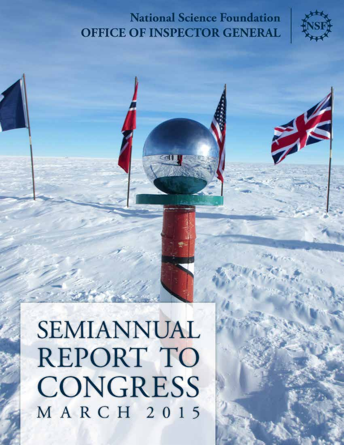# **National Science Foundation OFFICE OF INSPECTOR GENERAL**



# SEMIANNUAL **REPORT TO CONGRESS** MARCH 2015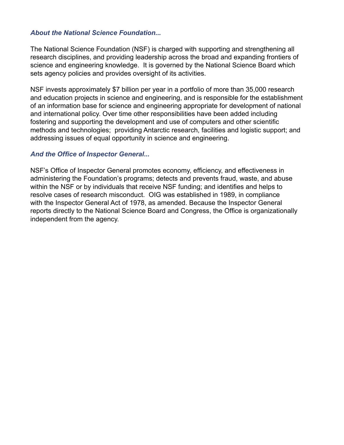#### *About the National Science Foundation...*

The National Science Foundation (NSF) is charged with supporting and strengthening all research disciplines, and providing leadership across the broad and expanding frontiers of science and engineering knowledge. It is governed by the National Science Board which sets agency policies and provides oversight of its activities.

NSF invests approximately \$7 billion per year in a portfolio of more than 35,000 research and education projects in science and engineering, and is responsible for the establishment of an information base for science and engineering appropriate for development of national and international policy. Over time other responsibilities have been added including fostering and supporting the development and use of computers and other scientific methods and technologies; providing Antarctic research, facilities and logistic support; and addressing issues of equal opportunity in science and engineering.

#### *And the Office of Inspector General...*

NSF's Office of Inspector General promotes economy, efficiency, and effectiveness in administering the Foundation's programs; detects and prevents fraud, waste, and abuse within the NSF or by individuals that receive NSF funding; and identifies and helps to resolve cases of research misconduct. OIG was established in 1989, in compliance with the Inspector General Act of 1978, as amended. Because the Inspector General reports directly to the National Science Board and Congress, the Office is organizationally independent from the agency.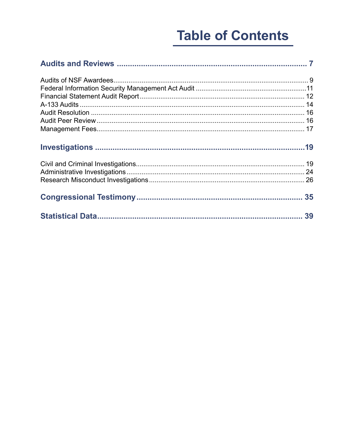# **Table of Contents**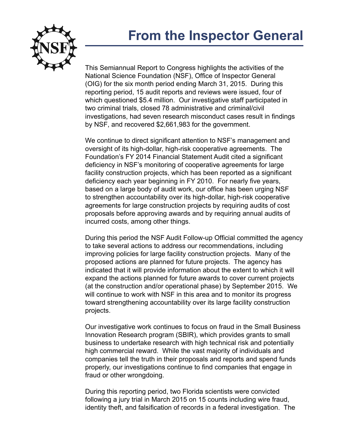# **From the Inspector General**



This Semiannual Report to Congress highlights the activities of the National Science Foundation (NSF), Office of Inspector General (OIG) for the six month period ending March 31, 2015. During this reporting period, 15 audit reports and reviews were issued, four of which questioned \$5.4 million. Our investigative staff participated in two criminal trials, closed 78 administrative and criminal/civil investigations, had seven research misconduct cases result in findings by NSF, and recovered \$2,661,983 for the government.

We continue to direct significant attention to NSF's management and oversight of its high-dollar, high-risk cooperative agreements. The Foundation's FY 2014 Financial Statement Audit cited a significant deficiency in NSF's monitoring of cooperative agreements for large facility construction projects, which has been reported as a significant deficiency each year beginning in FY 2010. For nearly five years, based on a large body of audit work, our office has been urging NSF to strengthen accountability over its high-dollar, high-risk cooperative agreements for large construction projects by requiring audits of cost proposals before approving awards and by requiring annual audits of incurred costs, among other things.

During this period the NSF Audit Follow-up Official committed the agency to take several actions to address our recommendations, including improving policies for large facility construction projects. Many of the proposed actions are planned for future projects. The agency has indicated that it will provide information about the extent to which it will expand the actions planned for future awards to cover current projects (at the construction and/or operational phase) by September 2015. We will continue to work with NSF in this area and to monitor its progress toward strengthening accountability over its large facility construction projects.

Our investigative work continues to focus on fraud in the Small Business Innovation Research program (SBIR), which provides grants to small business to undertake research with high technical risk and potentially high commercial reward. While the vast majority of individuals and companies tell the truth in their proposals and reports and spend funds properly, our investigations continue to find companies that engage in fraud or other wrongdoing.

During this reporting period, two Florida scientists were convicted following a jury trial in March 2015 on 15 counts including wire fraud, identity theft, and falsification of records in a federal investigation. The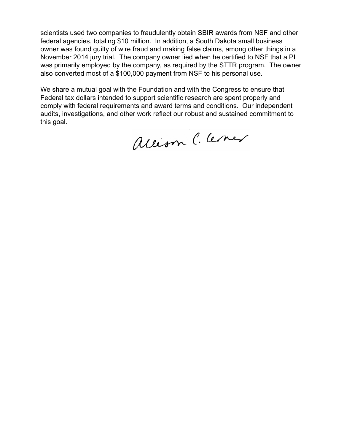scientists used two companies to fraudulently obtain SBIR awards from NSF and other federal agencies, totaling \$10 million. In addition, a South Dakota small business owner was found guilty of wire fraud and making false claims, among other things in a November 2014 jury trial. The company owner lied when he certified to NSF that a PI was primarily employed by the company, as required by the STTR program. The owner also converted most of a \$100,000 payment from NSF to his personal use.

We share a mutual goal with the Foundation and with the Congress to ensure that Federal tax dollars intended to support scientific research are spent properly and comply with federal requirements and award terms and conditions. Our independent audits, investigations, and other work reflect our robust and sustained commitment to this goal.

Allism C. lener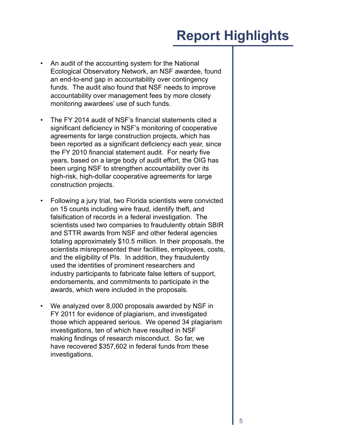# **Report Highlights**

- An audit of the accounting system for the National Ecological Observatory Network, an NSF awardee, found an end-to-end gap in accountability over contingency funds. The audit also found that NSF needs to improve accountability over management fees by more closely monitoring awardees' use of such funds.
- The FY 2014 audit of NSF's financial statements cited a significant deficiency in NSF's monitoring of cooperative agreements for large construction projects, which has been reported as a significant deficiency each year, since the FY 2010 financial statement audit. For nearly five years, based on a large body of audit effort, the OIG has been urging NSF to strengthen accountability over its high-risk, high-dollar cooperative agreements for large construction projects.
- Following a jury trial, two Florida scientists were convicted on 15 counts including wire fraud, identify theft, and falsification of records in a federal investigation. The scientists used two companies to fraudulently obtain SBIR and STTR awards from NSF and other federal agencies totaling approximately \$10.5 million. In their proposals, the scientists misrepresented their facilities, employees, costs, and the eligibility of PIs. In addition, they fraudulently used the identities of prominent researchers and industry participants to fabricate false letters of support, endorsements, and commitments to participate in the awards, which were included in the proposals.
- We analyzed over 8,000 proposals awarded by NSF in FY 2011 for evidence of plagiarism, and investigated those which appeared serious. We opened 34 plagiarism investigations, ten of which have resulted in NSF making findings of research misconduct. So far, we have recovered \$357,602 in federal funds from these investigations.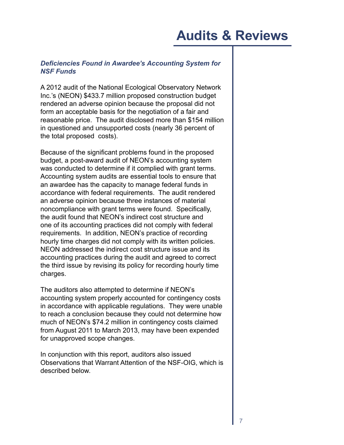#### *Deficiencies Found in Awardee's Accounting System for NSF Funds*

A 2012 audit of the National Ecological Observatory Network Inc.'s (NEON) \$433.7 million proposed construction budget rendered an adverse opinion because the proposal did not form an acceptable basis for the negotiation of a fair and reasonable price. The audit disclosed more than \$154 million in questioned and unsupported costs (nearly 36 percent of the total proposed costs).

Because of the significant problems found in the proposed budget, a post-award audit of NEON's accounting system was conducted to determine if it complied with grant terms. Accounting system audits are essential tools to ensure that an awardee has the capacity to manage federal funds in accordance with federal requirements. The audit rendered an adverse opinion because three instances of material noncompliance with grant terms were found. Specifically, the audit found that NEON's indirect cost structure and one of its accounting practices did not comply with federal requirements. In addition, NEON's practice of recording hourly time charges did not comply with its written policies. NEON addressed the indirect cost structure issue and its accounting practices during the audit and agreed to correct the third issue by revising its policy for recording hourly time charges.

The auditors also attempted to determine if NEON's accounting system properly accounted for contingency costs in accordance with applicable regulations. They were unable to reach a conclusion because they could not determine how much of NEON's \$74.2 million in contingency costs claimed from August 2011 to March 2013, may have been expended for unapproved scope changes.

In conjunction with this report, auditors also issued Observations that Warrant Attention of the NSF-OIG, which is described below.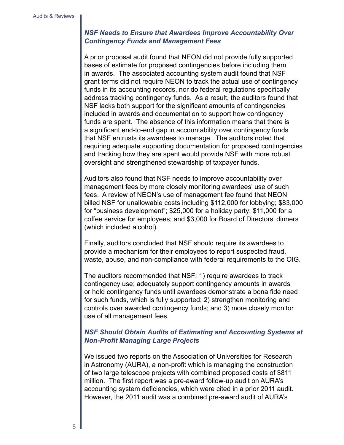#### *NSF Needs to Ensure that Awardees Improve Accountability Over Contingency Funds and Management Fees*

A prior proposal audit found that NEON did not provide fully supported bases of estimate for proposed contingencies before including them in awards. The associated accounting system audit found that NSF grant terms did not require NEON to track the actual use of contingency funds in its accounting records, nor do federal regulations specifically address tracking contingency funds. As a result, the auditors found that NSF lacks both support for the significant amounts of contingencies included in awards and documentation to support how contingency funds are spent. The absence of this information means that there is a significant end-to-end gap in accountability over contingency funds that NSF entrusts its awardees to manage. The auditors noted that requiring adequate supporting documentation for proposed contingencies and tracking how they are spent would provide NSF with more robust oversight and strengthened stewardship of taxpayer funds.

Auditors also found that NSF needs to improve accountability over management fees by more closely monitoring awardees' use of such fees. A review of NEON's use of management fee found that NEON billed NSF for unallowable costs including \$112,000 for lobbying; \$83,000 for "business development"; \$25,000 for a holiday party; \$11,000 for a coffee service for employees; and \$3,000 for Board of Directors' dinners (which included alcohol).

Finally, auditors concluded that NSF should require its awardees to provide a mechanism for their employees to report suspected fraud, waste, abuse, and non-compliance with federal requirements to the OIG.

The auditors recommended that NSF: 1) require awardees to track contingency use; adequately support contingency amounts in awards or hold contingency funds until awardees demonstrate a bona fide need for such funds, which is fully supported; 2) strengthen monitoring and controls over awarded contingency funds; and 3) more closely monitor use of all management fees.

#### *NSF Should Obtain Audits of Estimating and Accounting Systems at Non-Profit Managing Large Projects*

We issued two reports on the Association of Universities for Research in Astronomy (AURA), a non-profit which is managing the construction of two large telescope projects with combined proposed costs of \$811 million. The first report was a pre-award follow-up audit on AURA's accounting system deficiencies, which were cited in a prior 2011 audit. However, the 2011 audit was a combined pre-award audit of AURA's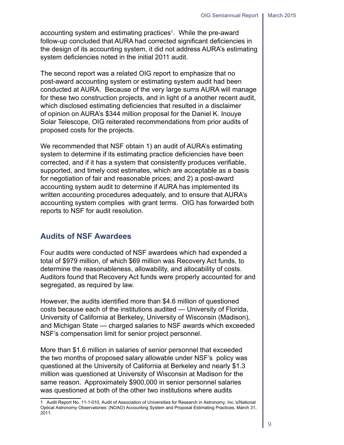accounting system and estimating practices<sup>1</sup>. While the pre-award follow-up concluded that AURA had corrected significant deficiencies in the design of its accounting system, it did not address AURA's estimating system deficiencies noted in the initial 2011 audit.

The second report was a related OIG report to emphasize that no post-award accounting system or estimating system audit had been conducted at AURA. Because of the very large sums AURA will manage for these two construction projects, and in light of a another recent audit, which disclosed estimating deficiencies that resulted in a disclaimer of opinion on AURA's \$344 million proposal for the Daniel K. Inouye Solar Telescope, OIG reiterated recommendations from prior audits of proposed costs for the projects.

We recommended that NSF obtain 1) an audit of AURA's estimating system to determine if its estimating practice deficiencies have been corrected, and if it has a system that consistently produces verifiable, supported, and timely cost estimates, which are acceptable as a basis for negotiation of fair and reasonable prices; and 2) a post-award accounting system audit to determine if AURA has implemented its written accounting procedures adequately, and to ensure that AURA's accounting system complies with grant terms. OIG has forwarded both reports to NSF for audit resolution.

#### **Audits of NSF Awardees**

Four audits were conducted of NSF awardees which had expended a total of \$979 million, of which \$69 million was Recovery Act funds, to determine the reasonableness, allowability, and allocability of costs. Auditors found that Recovery Act funds were properly accounted for and segregated, as required by law.

However, the audits identified more than \$4.6 million of questioned costs because each of the institutions audited — University of Florida, University of California at Berkeley, University of Wisconsin (Madison), and Michigan State — charged salaries to NSF awards which exceeded NSF's compensation limit for senior project personnel.

More than \$1.6 million in salaries of senior personnel that exceeded the two months of proposed salary allowable under NSF's policy was questioned at the University of California at Berkeley and nearly \$1.3 million was questioned at University of Wisconsin at Madison for the same reason. Approximately \$900,000 in senior personnel salaries was questioned at both of the other two institutions where audits

<sup>1</sup> Audit Report No. 11-1-010, Audit of Association of Universities for Research in Astronomy, Inc.'s/National Optical Astronomy Observatories' (NOAO) Accounting System and Proposal Estimating Practices, March 31, 2011.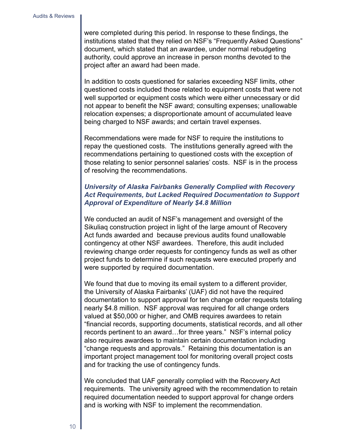were completed during this period. In response to these findings, the institutions stated that they relied on NSF's "Frequently Asked Questions" document, which stated that an awardee, under normal rebudgeting authority, could approve an increase in person months devoted to the project after an award had been made.

In addition to costs questioned for salaries exceeding NSF limits, other questioned costs included those related to equipment costs that were not well supported or equipment costs which were either unnecessary or did not appear to benefit the NSF award; consulting expenses; unallowable relocation expenses; a disproportionate amount of accumulated leave being charged to NSF awards; and certain travel expenses.

Recommendations were made for NSF to require the institutions to repay the questioned costs. The institutions generally agreed with the recommendations pertaining to questioned costs with the exception of those relating to senior personnel salaries' costs. NSF is in the process of resolving the recommendations.

#### *University of Alaska Fairbanks Generally Complied with Recovery Act Requirements, but Lacked Required Documentation to Support Approval of Expenditure of Nearly \$4.8 Million*

We conducted an audit of NSF's management and oversight of the Sikuliaq construction project in light of the large amount of Recovery Act funds awarded and because previous audits found unallowable contingency at other NSF awardees. Therefore, this audit included reviewing change order requests for contingency funds as well as other project funds to determine if such requests were executed properly and were supported by required documentation.

We found that due to moving its email system to a different provider, the University of Alaska Fairbanks' (UAF) did not have the required documentation to support approval for ten change order requests totaling nearly \$4.8 million. NSF approval was required for all change orders valued at \$50,000 or higher, and OMB requires awardees to retain "financial records, supporting documents, statistical records, and all other records pertinent to an award…for three years." NSF's internal policy also requires awardees to maintain certain documentation including "change requests and approvals." Retaining this documentation is an important project management tool for monitoring overall project costs and for tracking the use of contingency funds.

We concluded that UAF generally complied with the Recovery Act requirements. The university agreed with the recommendation to retain required documentation needed to support approval for change orders and is working with NSF to implement the recommendation.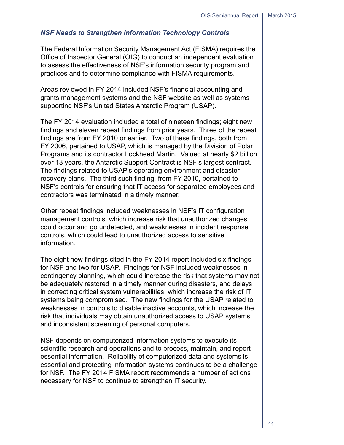#### *NSF Needs to Strengthen Information Technology Controls*

The Federal Information Security Management Act (FISMA) requires the Office of Inspector General (OIG) to conduct an independent evaluation to assess the effectiveness of NSF's information security program and practices and to determine compliance with FISMA requirements.

Areas reviewed in FY 2014 included NSF's financial accounting and grants management systems and the NSF website as well as systems supporting NSF's United States Antarctic Program (USAP).

The FY 2014 evaluation included a total of nineteen findings; eight new findings and eleven repeat findings from prior years. Three of the repeat findings are from FY 2010 or earlier. Two of these findings, both from FY 2006, pertained to USAP, which is managed by the Division of Polar Programs and its contractor Lockheed Martin. Valued at nearly \$2 billion over 13 years, the Antarctic Support Contract is NSF's largest contract. The findings related to USAP's operating environment and disaster recovery plans. The third such finding, from FY 2010, pertained to NSF's controls for ensuring that IT access for separated employees and contractors was terminated in a timely manner.

Other repeat findings included weaknesses in NSF's IT configuration management controls, which increase risk that unauthorized changes could occur and go undetected, and weaknesses in incident response controls, which could lead to unauthorized access to sensitive information.

The eight new findings cited in the FY 2014 report included six findings for NSF and two for USAP. Findings for NSF included weaknesses in contingency planning, which could increase the risk that systems may not be adequately restored in a timely manner during disasters, and delays in correcting critical system vulnerabilities, which increase the risk of IT systems being compromised. The new findings for the USAP related to weaknesses in controls to disable inactive accounts, which increase the risk that individuals may obtain unauthorized access to USAP systems, and inconsistent screening of personal computers.

NSF depends on computerized information systems to execute its scientific research and operations and to process, maintain, and report essential information. Reliability of computerized data and systems is essential and protecting information systems continues to be a challenge for NSF. The FY 2014 FISMA report recommends a number of actions necessary for NSF to continue to strengthen IT security.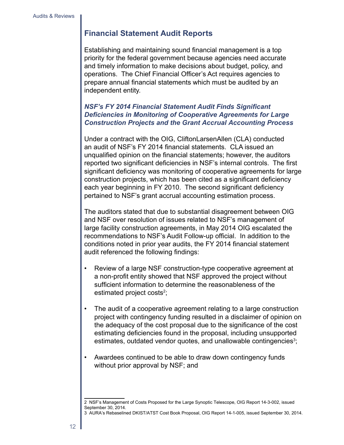### **Financial Statement Audit Reports**

Establishing and maintaining sound financial management is a top priority for the federal government because agencies need accurate and timely information to make decisions about budget, policy, and operations. The Chief Financial Officer's Act requires agencies to prepare annual financial statements which must be audited by an independent entity.

#### *NSF's FY 2014 Financial Statement Audit Finds Significant Deficiencies in Monitoring of Cooperative Agreements for Large Construction Projects and the Grant Accrual Accounting Process*

Under a contract with the OIG, CliftonLarsenAllen (CLA) conducted an audit of NSF's FY 2014 financial statements. CLA issued an unqualified opinion on the financial statements; however, the auditors reported two significant deficiencies in NSF's internal controls. The first significant deficiency was monitoring of cooperative agreements for large construction projects, which has been cited as a significant deficiency each year beginning in FY 2010. The second significant deficiency pertained to NSF's grant accrual accounting estimation process.

The auditors stated that due to substantial disagreement between OIG and NSF over resolution of issues related to NSF's management of large facility construction agreements, in May 2014 OIG escalated the recommendations to NSF's Audit Follow-up official. In addition to the conditions noted in prior year audits, the FY 2014 financial statement audit referenced the following findings:

- Review of a large NSF construction-type cooperative agreement at a non-profit entity showed that NSF approved the project without sufficient information to determine the reasonableness of the estimated project costs<sup>2</sup>;
- The audit of a cooperative agreement relating to a large construction project with contingency funding resulted in a disclaimer of opinion on the adequacy of the cost proposal due to the significance of the cost estimating deficiencies found in the proposal, including unsupported estimates, outdated vendor quotes, and unallowable contingencies<sup>3</sup>;
- Awardees continued to be able to draw down contingency funds without prior approval by NSF; and

<sup>2</sup> NSF's Management of Costs Proposed for the Large Synoptic Telescope, OIG Report 14-3-002, issued September 30, 2014.

<sup>3</sup> AURA's Rebaselined DKIST/ATST Cost Book Proposal, OIG Report 14-1-005, issued September 30, 2014.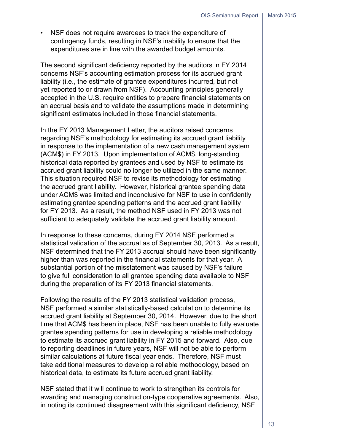NSF does not require awardees to track the expenditure of contingency funds, resulting in NSF's inability to ensure that the expenditures are in line with the awarded budget amounts.

The second significant deficiency reported by the auditors in FY 2014 concerns NSF's accounting estimation process for its accrued grant liability (i.e., the estimate of grantee expenditures incurred, but not yet reported to or drawn from NSF). Accounting principles generally accepted in the U.S. require entities to prepare financial statements on an accrual basis and to validate the assumptions made in determining significant estimates included in those financial statements.

In the FY 2013 Management Letter, the auditors raised concerns regarding NSF's methodology for estimating its accrued grant liability in response to the implementation of a new cash management system (ACM\$) in FY 2013. Upon implementation of ACM\$, long-standing historical data reported by grantees and used by NSF to estimate its accrued grant liability could no longer be utilized in the same manner. This situation required NSF to revise its methodology for estimating the accrued grant liability. However, historical grantee spending data under ACM\$ was limited and inconclusive for NSF to use in confidently estimating grantee spending patterns and the accrued grant liability for FY 2013. As a result, the method NSF used in FY 2013 was not sufficient to adequately validate the accrued grant liability amount.

In response to these concerns, during FY 2014 NSF performed a statistical validation of the accrual as of September 30, 2013. As a result, NSF determined that the FY 2013 accrual should have been significantly higher than was reported in the financial statements for that year. A substantial portion of the misstatement was caused by NSF's failure to give full consideration to all grantee spending data available to NSF during the preparation of its FY 2013 financial statements.

Following the results of the FY 2013 statistical validation process, NSF performed a similar statistically-based calculation to determine its accrued grant liability at September 30, 2014. However, due to the short time that ACM\$ has been in place, NSF has been unable to fully evaluate grantee spending patterns for use in developing a reliable methodology to estimate its accrued grant liability in FY 2015 and forward. Also, due to reporting deadlines in future years, NSF will not be able to perform similar calculations at future fiscal year ends. Therefore, NSF must take additional measures to develop a reliable methodology, based on historical data, to estimate its future accrued grant liability.

NSF stated that it will continue to work to strengthen its controls for awarding and managing construction-type cooperative agreements. Also, in noting its continued disagreement with this significant deficiency, NSF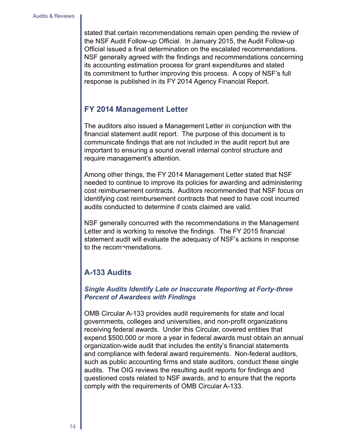stated that certain recommendations remain open pending the review of the NSF Audit Follow-up Official. In January 2015, the Audit Follow-up Official issued a final determination on the escalated recommendations. NSF generally agreed with the findings and recommendations concerning its accounting estimation process for grant expenditures and stated its commitment to further improving this process. A copy of NSF's full response is published in its FY 2014 Agency Financial Report.

### **FY 2014 Management Letter**

The auditors also issued a Management Letter in conjunction with the financial statement audit report. The purpose of this document is to communicate findings that are not included in the audit report but are important to ensuring a sound overall internal control structure and require management's attention.

Among other things, the FY 2014 Management Letter stated that NSF needed to continue to improve its policies for awarding and administering cost reimbursement contracts. Auditors recommended that NSF focus on identifying cost reimbursement contracts that need to have cost incurred audits conducted to determine if costs claimed are valid.

NSF generally concurred with the recommendations in the Management Letter and is working to resolve the findings. The FY 2015 financial statement audit will evaluate the adequacy of NSF's actions in response to the recom¬mendations.

## **A-133 Audits**

#### *Single Audits Identify Late or Inaccurate Reporting at Forty-three Percent of Awardees with Findings*

OMB Circular A-133 provides audit requirements for state and local governments, colleges and universities, and non-profit organizations receiving federal awards. Under this Circular, covered entities that expend \$500,000 or more a year in federal awards must obtain an annual organization-wide audit that includes the entity's financial statements and compliance with federal award requirements. Non-federal auditors, such as public accounting firms and state auditors, conduct these single audits. The OIG reviews the resulting audit reports for findings and questioned costs related to NSF awards, and to ensure that the reports comply with the requirements of OMB Circular A-133.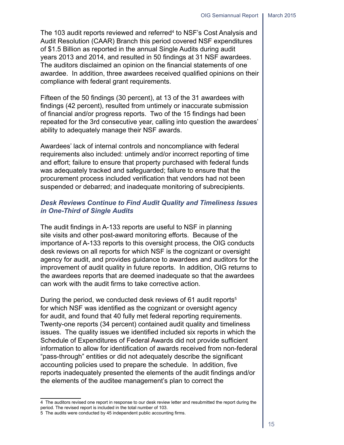The 103 audit reports reviewed and referred<sup>4</sup> to NSF's Cost Analysis and Audit Resolution (CAAR) Branch this period covered NSF expenditures of \$1.5 Billion as reported in the annual Single Audits during audit years 2013 and 2014, and resulted in 50 findings at 31 NSF awardees. The auditors disclaimed an opinion on the financial statements of one awardee. In addition, three awardees received qualified opinions on their compliance with federal grant requirements.

Fifteen of the 50 findings (30 percent), at 13 of the 31 awardees with findings (42 percent), resulted from untimely or inaccurate submission of financial and/or progress reports. Two of the 15 findings had been repeated for the 3rd consecutive year, calling into question the awardees' ability to adequately manage their NSF awards.

Awardees' lack of internal controls and noncompliance with federal requirements also included: untimely and/or incorrect reporting of time and effort; failure to ensure that property purchased with federal funds was adequately tracked and safeguarded; failure to ensure that the procurement process included verification that vendors had not been suspended or debarred; and inadequate monitoring of subrecipients.

#### *Desk Reviews Continue to Find Audit Quality and Timeliness Issues in One-Third of Single Audits*

The audit findings in A-133 reports are useful to NSF in planning site visits and other post-award monitoring efforts. Because of the importance of A-133 reports to this oversight process, the OIG conducts desk reviews on all reports for which NSF is the cognizant or oversight agency for audit, and provides guidance to awardees and auditors for the improvement of audit quality in future reports. In addition, OIG returns to the awardees reports that are deemed inadequate so that the awardees can work with the audit firms to take corrective action.

During the period, we conducted desk reviews of 61 audit reports<sup>5</sup> for which NSF was identified as the cognizant or oversight agency for audit, and found that 40 fully met federal reporting requirements. Twenty-one reports (34 percent) contained audit quality and timeliness issues. The quality issues we identified included six reports in which the Schedule of Expenditures of Federal Awards did not provide sufficient information to allow for identification of awards received from non-federal "pass-through" entities or did not adequately describe the significant accounting policies used to prepare the schedule. In addition, five reports inadequately presented the elements of the audit findings and/or the elements of the auditee management's plan to correct the

<sup>4</sup> The auditors revised one report in response to our desk review letter and resubmitted the report during the period. The revised report is included in the total number of 103.

<sup>5</sup> The audits were conducted by 45 independent public accounting firms.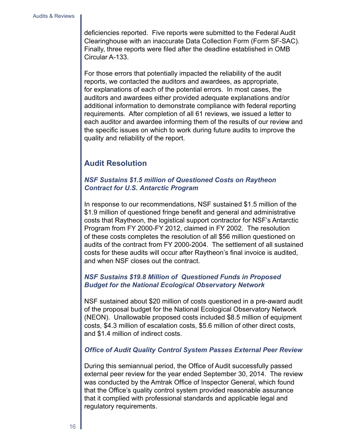deficiencies reported. Five reports were submitted to the Federal Audit Clearinghouse with an inaccurate Data Collection Form (Form SF-SAC). Finally, three reports were filed after the deadline established in OMB Circular A-133.

For those errors that potentially impacted the reliability of the audit reports, we contacted the auditors and awardees, as appropriate, for explanations of each of the potential errors. In most cases, the auditors and awardees either provided adequate explanations and/or additional information to demonstrate compliance with federal reporting requirements. After completion of all 61 reviews, we issued a letter to each auditor and awardee informing them of the results of our review and the specific issues on which to work during future audits to improve the quality and reliability of the report.

### **Audit Resolution**

#### *NSF Sustains \$1.5 million of Questioned Costs on Raytheon Contract for U.S. Antarctic Program*

In response to our recommendations, NSF sustained \$1.5 million of the \$1.9 million of questioned fringe benefit and general and administrative costs that Raytheon, the logistical support contractor for NSF's Antarctic Program from FY 2000-FY 2012, claimed in FY 2002. The resolution of these costs completes the resolution of all \$56 million questioned on audits of the contract from FY 2000-2004. The settlement of all sustained costs for these audits will occur after Raytheon's final invoice is audited, and when NSF closes out the contract.

#### *NSF Sustains \$19.8 Million of Questioned Funds in Proposed Budget for the National Ecological Observatory Network*

NSF sustained about \$20 million of costs questioned in a pre-award audit of the proposal budget for the National Ecological Observatory Network (NEON). Unallowable proposed costs included \$8.5 million of equipment costs, \$4.3 million of escalation costs, \$5.6 million of other direct costs, and \$1.4 million of indirect costs.

#### *Office of Audit Quality Control System Passes External Peer Review*

During this semiannual period, the Office of Audit successfully passed external peer review for the year ended September 30, 2014. The review was conducted by the Amtrak Office of Inspector General, which found that the Office's quality control system provided reasonable assurance that it complied with professional standards and applicable legal and regulatory requirements.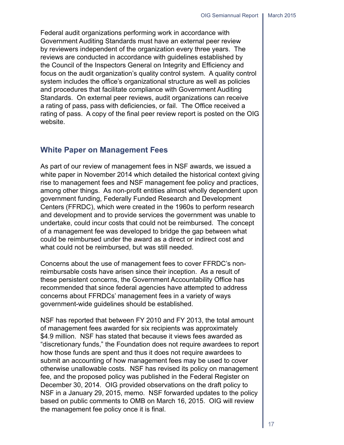Federal audit organizations performing work in accordance with Government Auditing Standards must have an external peer review by reviewers independent of the organization every three years. The reviews are conducted in accordance with guidelines established by the Council of the Inspectors General on Integrity and Efficiency and focus on the audit organization's quality control system. A quality control system includes the office's organizational structure as well as policies and procedures that facilitate compliance with Government Auditing Standards. On external peer reviews, audit organizations can receive a rating of pass, pass with deficiencies, or fail. The Office received a rating of pass. A copy of the final peer review report is posted on the OIG website.

#### **White Paper on Management Fees**

As part of our review of management fees in NSF awards, we issued a white paper in November 2014 which detailed the historical context giving rise to management fees and NSF management fee policy and practices, among other things. As non-profit entities almost wholly dependent upon government funding, Federally Funded Research and Development Centers (FFRDC), which were created in the 1960s to perform research and development and to provide services the government was unable to undertake, could incur costs that could not be reimbursed. The concept of a management fee was developed to bridge the gap between what could be reimbursed under the award as a direct or indirect cost and what could not be reimbursed, but was still needed.

Concerns about the use of management fees to cover FFRDC's nonreimbursable costs have arisen since their inception. As a result of these persistent concerns, the Government Accountability Office has recommended that since federal agencies have attempted to address concerns about FFRDCs' management fees in a variety of ways government-wide guidelines should be established.

NSF has reported that between FY 2010 and FY 2013, the total amount of management fees awarded for six recipients was approximately \$4.9 million. NSF has stated that because it views fees awarded as "discretionary funds," the Foundation does not require awardees to report how those funds are spent and thus it does not require awardees to submit an accounting of how management fees may be used to cover otherwise unallowable costs. NSF has revised its policy on management fee, and the proposed policy was published in the Federal Register on December 30, 2014. OIG provided observations on the draft policy to NSF in a January 29, 2015, memo. NSF forwarded updates to the policy based on public comments to OMB on March 16, 2015. OIG will review the management fee policy once it is final.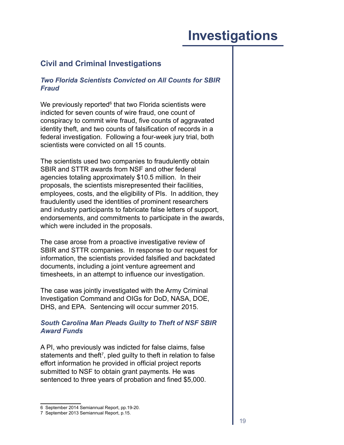# **Investigations**

### **Civil and Criminal Investigations**

#### *Two Florida Scientists Convicted on All Counts for SBIR Fraud*

We previously reported<sup>6</sup> that two Florida scientists were indicted for seven counts of wire fraud, one count of conspiracy to commit wire fraud, five counts of aggravated identity theft, and two counts of falsification of records in a federal investigation. Following a four-week jury trial, both scientists were convicted on all 15 counts.

The scientists used two companies to fraudulently obtain SBIR and STTR awards from NSF and other federal agencies totaling approximately \$10.5 million. In their proposals, the scientists misrepresented their facilities, employees, costs, and the eligibility of PIs. In addition, they fraudulently used the identities of prominent researchers and industry participants to fabricate false letters of support, endorsements, and commitments to participate in the awards, which were included in the proposals.

The case arose from a proactive investigative review of SBIR and STTR companies. In response to our request for information, the scientists provided falsified and backdated documents, including a joint venture agreement and timesheets, in an attempt to influence our investigation.

The case was jointly investigated with the Army Criminal Investigation Command and OIGs for DoD, NASA, DOE, DHS, and EPA. Sentencing will occur summer 2015.

#### *South Carolina Man Pleads Guilty to Theft of NSF SBIR Award Funds*

A PI, who previously was indicted for false claims, false statements and theft<sup>7</sup>, pled guilty to theft in relation to false effort information he provided in official project reports submitted to NSF to obtain grant payments. He was sentenced to three years of probation and fined \$5,000.

<sup>6</sup> September 2014 Semiannual Report, pp.19-20.

<sup>7</sup> September 2013 Semiannual Report, p.15.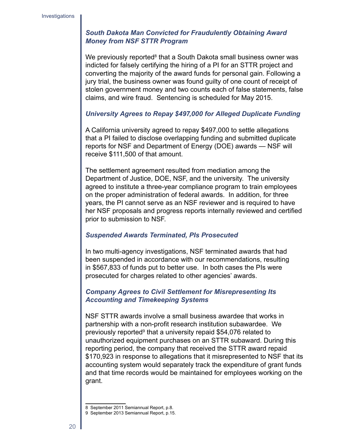#### *South Dakota Man Convicted for Fraudulently Obtaining Award Money from NSF STTR Program*

We previously reported<sup>8</sup> that a South Dakota small business owner was indicted for falsely certifying the hiring of a PI for an STTR project and converting the majority of the award funds for personal gain. Following a jury trial, the business owner was found guilty of one count of receipt of stolen government money and two counts each of false statements, false claims, and wire fraud. Sentencing is scheduled for May 2015.

#### *University Agrees to Repay \$497,000 for Alleged Duplicate Funding*

A California university agreed to repay \$497,000 to settle allegations that a PI failed to disclose overlapping funding and submitted duplicate reports for NSF and Department of Energy (DOE) awards — NSF will receive \$111,500 of that amount.

The settlement agreement resulted from mediation among the Department of Justice, DOE, NSF, and the university. The university agreed to institute a three-year compliance program to train employees on the proper administration of federal awards. In addition, for three years, the PI cannot serve as an NSF reviewer and is required to have her NSF proposals and progress reports internally reviewed and certified prior to submission to NSF.

#### *Suspended Awards Terminated, PIs Prosecuted*

In two multi-agency investigations, NSF terminated awards that had been suspended in accordance with our recommendations, resulting in \$567,833 of funds put to better use. In both cases the PIs were prosecuted for charges related to other agencies' awards.

#### *Company Agrees to Civil Settlement for Misrepresenting Its Accounting and Timekeeping Systems*

NSF STTR awards involve a small business awardee that works in partnership with a non-profit research institution subawardee. We previously reported<sup>9</sup> that a university repaid \$54,076 related to unauthorized equipment purchases on an STTR subaward. During this reporting period, the company that received the STTR award repaid \$170,923 in response to allegations that it misrepresented to NSF that its accounting system would separately track the expenditure of grant funds and that time records would be maintained for employees working on the grant.

<sup>8</sup> September 2011 Semiannual Report, p.8.

<sup>9</sup> September 2013 Semiannual Report, p.15.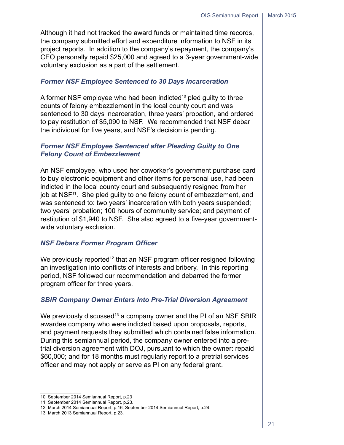Although it had not tracked the award funds or maintained time records, the company submitted effort and expenditure information to NSF in its project reports. In addition to the company's repayment, the company's CEO personally repaid \$25,000 and agreed to a 3-year government-wide voluntary exclusion as a part of the settlement.

#### *Former NSF Employee Sentenced to 30 Days Incarceration*

A former NSF employee who had been indicted<sup>10</sup> pled guilty to three counts of felony embezzlement in the local county court and was sentenced to 30 days incarceration, three years' probation, and ordered to pay restitution of \$5,090 to NSF. We recommended that NSF debar the individual for five years, and NSF's decision is pending.

#### *Former NSF Employee Sentenced after Pleading Guilty to One Felony Count of Embezzlement*

An NSF employee, who used her coworker's government purchase card to buy electronic equipment and other items for personal use, had been indicted in the local county court and subsequently resigned from her job at NSF<sup>11</sup>. She pled guilty to one felony count of embezzlement, and was sentenced to: two years' incarceration with both years suspended; two years' probation; 100 hours of community service; and payment of restitution of \$1,940 to NSF. She also agreed to a five-year governmentwide voluntary exclusion.

#### *NSF Debars Former Program Officer*

We previously reported<sup>12</sup> that an NSF program officer resigned following an investigation into conflicts of interests and bribery. In this reporting period, NSF followed our recommendation and debarred the former program officer for three years.

#### *SBIR Company Owner Enters Into Pre-Trial Diversion Agreement*

We previously discussed<sup>13</sup> a company owner and the PI of an NSF SBIR awardee company who were indicted based upon proposals, reports, and payment requests they submitted which contained false information. During this semiannual period, the company owner entered into a pretrial diversion agreement with DOJ, pursuant to which the owner: repaid \$60,000; and for 18 months must regularly report to a pretrial services officer and may not apply or serve as PI on any federal grant.

<sup>10</sup> September 2014 Semiannual Report, p.23

<sup>11</sup> September 2014 Semiannual Report, p.23.

<sup>12</sup> March 2014 Semiannual Report, p.16; September 2014 Semiannual Report, p.24.

<sup>13</sup> March 2013 Semiannual Report, p.23.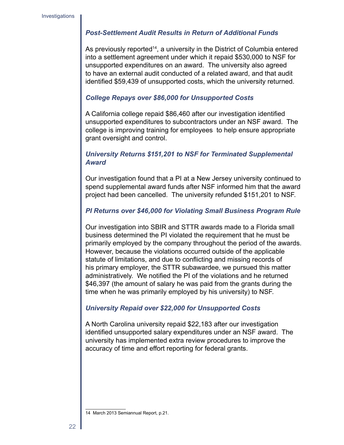#### *Post-Settlement Audit Results in Return of Additional Funds*

As previously reported<sup>14</sup>, a university in the District of Columbia entered into a settlement agreement under which it repaid \$530,000 to NSF for unsupported expenditures on an award. The university also agreed to have an external audit conducted of a related award, and that audit identified \$59,439 of unsupported costs, which the university returned.

#### *College Repays over \$86,000 for Unsupported Costs*

A California college repaid \$86,460 after our investigation identified unsupported expenditures to subcontractors under an NSF award. The college is improving training for employees to help ensure appropriate grant oversight and control.

#### *University Returns \$151,201 to NSF for Terminated Supplemental Award*

Our investigation found that a PI at a New Jersey university continued to spend supplemental award funds after NSF informed him that the award project had been cancelled. The university refunded \$151,201 to NSF.

#### *PI Returns over \$46,000 for Violating Small Business Program Rule*

Our investigation into SBIR and STTR awards made to a Florida small business determined the PI violated the requirement that he must be primarily employed by the company throughout the period of the awards. However, because the violations occurred outside of the applicable statute of limitations, and due to conflicting and missing records of his primary employer, the STTR subawardee, we pursued this matter administratively. We notified the PI of the violations and he returned \$46,397 (the amount of salary he was paid from the grants during the time when he was primarily employed by his university) to NSF.

#### *University Repaid over \$22,000 for Unsupported Costs*

A North Carolina university repaid \$22,183 after our investigation identified unsupported salary expenditures under an NSF award. The university has implemented extra review procedures to improve the accuracy of time and effort reporting for federal grants.

<sup>14</sup> March 2013 Semiannual Report, p.21.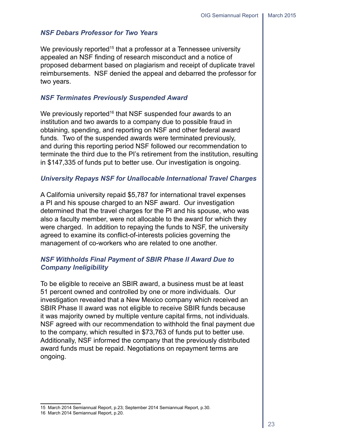#### *NSF Debars Professor for Two Years*

We previously reported<sup>15</sup> that a professor at a Tennessee university appealed an NSF finding of research misconduct and a notice of proposed debarment based on plagiarism and receipt of duplicate travel reimbursements. NSF denied the appeal and debarred the professor for two years.

#### *NSF Terminates Previously Suspended Award*

We previously reported<sup>16</sup> that NSF suspended four awards to an institution and two awards to a company due to possible fraud in obtaining, spending, and reporting on NSF and other federal award funds. Two of the suspended awards were terminated previously, and during this reporting period NSF followed our recommendation to terminate the third due to the PI's retirement from the institution, resulting in \$147,335 of funds put to better use. Our investigation is ongoing.

#### *University Repays NSF for Unallocable International Travel Charges*

A California university repaid \$5,787 for international travel expenses a PI and his spouse charged to an NSF award. Our investigation determined that the travel charges for the PI and his spouse, who was also a faculty member, were not allocable to the award for which they were charged. In addition to repaying the funds to NSF, the university agreed to examine its conflict-of-interests policies governing the management of co-workers who are related to one another.

#### *NSF Withholds Final Payment of SBIR Phase II Award Due to Company Ineligibility*

To be eligible to receive an SBIR award, a business must be at least 51 percent owned and controlled by one or more individuals. Our investigation revealed that a New Mexico company which received an SBIR Phase II award was not eligible to receive SBIR funds because it was majority owned by multiple venture capital firms, not individuals. NSF agreed with our recommendation to withhold the final payment due to the company, which resulted in \$73,763 of funds put to better use. Additionally, NSF informed the company that the previously distributed award funds must be repaid. Negotiations on repayment terms are ongoing.

<sup>15</sup> March 2014 Semiannual Report, p.23; September 2014 Semiannual Report, p.30.

<sup>16</sup> March 2014 Semiannual Report, p.20.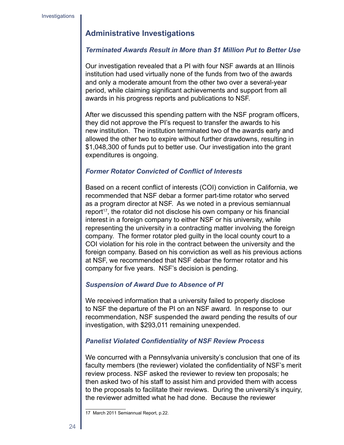### **Administrative Investigations**

#### *Terminated Awards Result in More than \$1 Million Put to Better Use*

Our investigation revealed that a PI with four NSF awards at an Illinois institution had used virtually none of the funds from two of the awards and only a moderate amount from the other two over a several-year period, while claiming significant achievements and support from all awards in his progress reports and publications to NSF.

After we discussed this spending pattern with the NSF program officers, they did not approve the PI's request to transfer the awards to his new institution. The institution terminated two of the awards early and allowed the other two to expire without further drawdowns, resulting in \$1,048,300 of funds put to better use. Our investigation into the grant expenditures is ongoing.

#### *Former Rotator Convicted of Conflict of Interests*

Based on a recent conflict of interests (COI) conviction in California, we recommended that NSF debar a former part-time rotator who served as a program director at NSF. As we noted in a previous semiannual report<sup>17</sup>, the rotator did not disclose his own company or his financial interest in a foreign company to either NSF or his university, while representing the university in a contracting matter involving the foreign company. The former rotator pled guilty in the local county court to a COI violation for his role in the contract between the university and the foreign company. Based on his conviction as well as his previous actions at NSF, we recommended that NSF debar the former rotator and his company for five years. NSF's decision is pending.

#### *Suspension of Award Due to Absence of PI*

We received information that a university failed to properly disclose to NSF the departure of the PI on an NSF award. In response to our recommendation, NSF suspended the award pending the results of our investigation, with \$293,011 remaining unexpended.

#### *Panelist Violated Confidentiality of NSF Review Process*

We concurred with a Pennsylvania university's conclusion that one of its faculty members (the reviewer) violated the confidentiality of NSF's merit review process. NSF asked the reviewer to review ten proposals; he then asked two of his staff to assist him and provided them with access to the proposals to facilitate their reviews. During the university's inquiry, the reviewer admitted what he had done. Because the reviewer

<sup>17</sup> March 2011 Semiannual Report, p.22.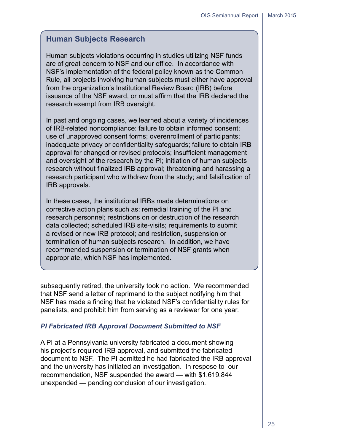### **Human Subjects Research**

Human subjects violations occurring in studies utilizing NSF funds are of great concern to NSF and our office. In accordance with NSF's implementation of the federal policy known as the Common Rule, all projects involving human subjects must either have approval from the organization's Institutional Review Board (IRB) before issuance of the NSF award, or must affirm that the IRB declared the research exempt from IRB oversight.

In past and ongoing cases, we learned about a variety of incidences of IRB-related noncompliance: failure to obtain informed consent; use of unapproved consent forms; overenrollment of participants; inadequate privacy or confidentiality safeguards; failure to obtain IRB approval for changed or revised protocols; insufficient management and oversight of the research by the PI; initiation of human subjects research without finalized IRB approval; threatening and harassing a research participant who withdrew from the study; and falsification of IRB approvals.

In these cases, the institutional IRBs made determinations on corrective action plans such as: remedial training of the PI and research personnel; restrictions on or destruction of the research data collected; scheduled IRB site-visits; requirements to submit a revised or new IRB protocol; and restriction, suspension or termination of human subjects research. In addition, we have recommended suspension or termination of NSF grants when appropriate, which NSF has implemented.

subsequently retired, the university took no action. We recommended that NSF send a letter of reprimand to the subject notifying him that NSF has made a finding that he violated NSF's confidentiality rules for panelists, and prohibit him from serving as a reviewer for one year.

#### *PI Fabricated IRB Approval Document Submitted to NSF*

A PI at a Pennsylvania university fabricated a document showing his project's required IRB approval, and submitted the fabricated document to NSF. The PI admitted he had fabricated the IRB approval and the university has initiated an investigation. In respose to our recommendation, NSF suspended the award — with \$1,619,844 unexpended — pending conclusion of our investigation.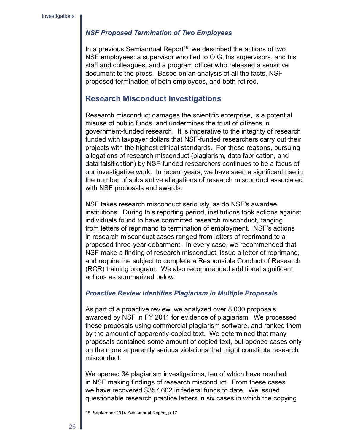#### *NSF Proposed Termination of Two Employees*

In a previous Semiannual Report<sup>18</sup>, we described the actions of two NSF employees: a supervisor who lied to OIG, his supervisors, and his staff and colleagues; and a program officer who released a sensitive document to the press. Based on an analysis of all the facts, NSF proposed termination of both employees, and both retired.

### **Research Misconduct Investigations**

Research misconduct damages the scientific enterprise, is a potential misuse of public funds, and undermines the trust of citizens in government-funded research. It is imperative to the integrity of research funded with taxpayer dollars that NSF-funded researchers carry out their projects with the highest ethical standards. For these reasons, pursuing allegations of research misconduct (plagiarism, data fabrication, and data falsification) by NSF-funded researchers continues to be a focus of our investigative work. In recent years, we have seen a significant rise in the number of substantive allegations of research misconduct associated with NSF proposals and awards.

NSF takes research misconduct seriously, as do NSF's awardee institutions. During this reporting period, institutions took actions against individuals found to have committed research misconduct, ranging from letters of reprimand to termination of employment. NSF's actions in research misconduct cases ranged from letters of reprimand to a proposed three-year debarment. In every case, we recommended that NSF make a finding of research misconduct, issue a letter of reprimand, and require the subject to complete a Responsible Conduct of Research (RCR) training program. We also recommended additional significant actions as summarized below.

#### *Proactive Review Identifies Plagiarism in Multiple Proposals*

As part of a proactive review, we analyzed over 8,000 proposals awarded by NSF in FY 2011 for evidence of plagiarism. We processed these proposals using commercial plagiarism software, and ranked them by the amount of apparently-copied text. We determined that many proposals contained some amount of copied text, but opened cases only on the more apparently serious violations that might constitute research misconduct.

We opened 34 plagiarism investigations, ten of which have resulted in NSF making findings of research misconduct. From these cases we have recovered \$357,602 in federal funds to date. We issued questionable research practice letters in six cases in which the copying

<sup>18</sup> September 2014 Semiannual Report, p.17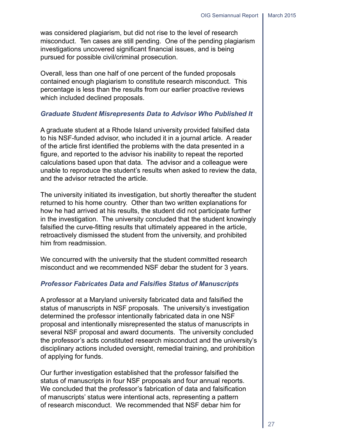was considered plagiarism, but did not rise to the level of research misconduct. Ten cases are still pending. One of the pending plagiarism investigations uncovered significant financial issues, and is being pursued for possible civil/criminal prosecution.

Overall, less than one half of one percent of the funded proposals contained enough plagiarism to constitute research misconduct. This percentage is less than the results from our earlier proactive reviews which included declined proposals.

#### *Graduate Student Misrepresents Data to Advisor Who Published It*

A graduate student at a Rhode Island university provided falsified data to his NSF-funded advisor, who included it in a journal article. A reader of the article first identified the problems with the data presented in a figure, and reported to the advisor his inability to repeat the reported calculations based upon that data. The advisor and a colleague were unable to reproduce the student's results when asked to review the data, and the advisor retracted the article.

The university initiated its investigation, but shortly thereafter the student returned to his home country. Other than two written explanations for how he had arrived at his results, the student did not participate further in the investigation. The university concluded that the student knowingly falsified the curve-fitting results that ultimately appeared in the article, retroactively dismissed the student from the university, and prohibited him from readmission.

We concurred with the university that the student committed research misconduct and we recommended NSF debar the student for 3 years.

#### *Professor Fabricates Data and Falsifies Status of Manuscripts*

A professor at a Maryland university fabricated data and falsified the status of manuscripts in NSF proposals. The university's investigation determined the professor intentionally fabricated data in one NSF proposal and intentionally misrepresented the status of manuscripts in several NSF proposal and award documents. The university concluded the professor's acts constituted research misconduct and the university's disciplinary actions included oversight, remedial training, and prohibition of applying for funds.

Our further investigation established that the professor falsified the status of manuscripts in four NSF proposals and four annual reports. We concluded that the professor's fabrication of data and falsification of manuscripts' status were intentional acts, representing a pattern of research misconduct. We recommended that NSF debar him for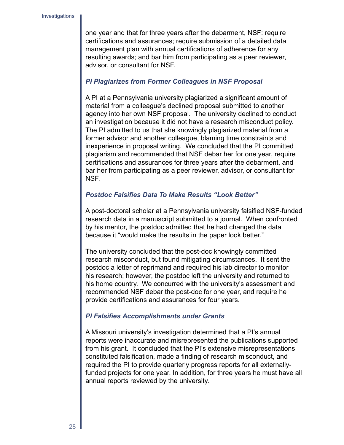one year and that for three years after the debarment, NSF: require certifications and assurances; require submission of a detailed data management plan with annual certifications of adherence for any resulting awards; and bar him from participating as a peer reviewer, advisor, or consultant for NSF.

#### *PI Plagiarizes from Former Colleagues in NSF Proposal*

A PI at a Pennsylvania university plagiarized a significant amount of material from a colleague's declined proposal submitted to another agency into her own NSF proposal. The university declined to conduct an investigation because it did not have a research misconduct policy. The PI admitted to us that she knowingly plagiarized material from a former advisor and another colleague, blaming time constraints and inexperience in proposal writing. We concluded that the PI committed plagiarism and recommended that NSF debar her for one year, require certifications and assurances for three years after the debarment, and bar her from participating as a peer reviewer, advisor, or consultant for NSF.

#### *Postdoc Falsifies Data To Make Results "Look Better"*

A post-doctoral scholar at a Pennsylvania university falsified NSF-funded research data in a manuscript submitted to a journal. When confronted by his mentor, the postdoc admitted that he had changed the data because it "would make the results in the paper look better."

The university concluded that the post-doc knowingly committed research misconduct, but found mitigating circumstances. It sent the postdoc a letter of reprimand and required his lab director to monitor his research; however, the postdoc left the university and returned to his home country. We concurred with the university's assessment and recommended NSF debar the post-doc for one year, and require he provide certifications and assurances for four years.

#### *PI Falsifies Accomplishments under Grants*

A Missouri university's investigation determined that a PI's annual reports were inaccurate and misrepresented the publications supported from his grant. It concluded that the PI's extensive misrepresentations constituted falsification, made a finding of research misconduct, and required the PI to provide quarterly progress reports for all externallyfunded projects for one year. In addition, for three years he must have all annual reports reviewed by the university.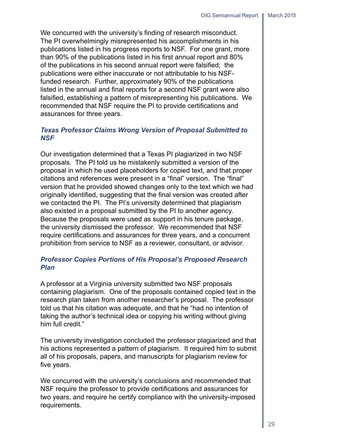We concurred with the university's finding of research misconduct. The PI overwhelmingly misrepresented his accomplishments in his publications listed in his progress reports to NSF. For one grant, more than 90% of the publications listed in his first annual report and 80% of the publications in his second annual report were falsified; the publications were either inaccurate or not attributable to his NSFfunded research. Further, approximately 90% of the publications listed in the annual and final reports for a second NSF grant were also falsified, establishing a pattern of misrepresenting his publications. We recommended that NSF require the PI to provide certifications and assurances for three years.

#### *Texas Professor Claims Wrong Version of Proposal Submitted to NSF*

Our investigation determined that a Texas PI plagiarized in two NSF proposals. The PI told us he mistakenly submitted a version of the proposal in which he used placeholders for copied text, and that proper citations and references were present in a "final" version. The "final" version that he provided showed changes only to the text which we had originally identified, suggesting that the final version was created after we contacted the PI. The PI's university determined that plagiarism also existed in a proposal submitted by the PI to another agency. Because the proposals were used as support in his tenure package, the university dismissed the professor. We recommended that NSF require certifications and assurances for three years, and a concurrent prohibition from service to NSF as a reviewer, consultant, or advisor.

#### *Professor Copies Portions of His Proposal's Proposed Research Plan*

A professor at a Virginia university submitted two NSF proposals containing plagiarism. One of the proposals contained copied text in the research plan taken from another researcher's proposal. The professor told us that his citation was adequate, and that he "had no intention of taking the author's technical idea or copying his writing without giving him full credit."

The university investigation concluded the professor plagiarized and that his actions represented a pattern of plagiarism. It required him to submit all of his proposals, papers, and manuscripts for plagiarism review for five years.

We concurred with the university's conclusions and recommended that NSF require the professor to provide certifications and assurances for two years, and require he certify compliance with the university-imposed requirements.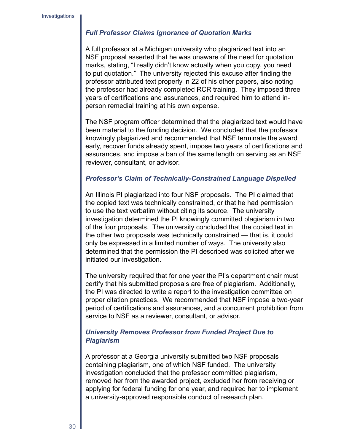#### *Full Professor Claims Ignorance of Quotation Marks*

A full professor at a Michigan university who plagiarized text into an NSF proposal asserted that he was unaware of the need for quotation marks, stating, "I really didn't know actually when you copy, you need to put quotation." The university rejected this excuse after finding the professor attributed text properly in 22 of his other papers, also noting the professor had already completed RCR training. They imposed three years of certifications and assurances, and required him to attend inperson remedial training at his own expense.

The NSF program officer determined that the plagiarized text would have been material to the funding decision. We concluded that the professor knowingly plagiarized and recommended that NSF terminate the award early, recover funds already spent, impose two years of certifications and assurances, and impose a ban of the same length on serving as an NSF reviewer, consultant, or advisor.

#### *Professor's Claim of Technically-Constrained Language Dispelled*

An Illinois PI plagiarized into four NSF proposals. The PI claimed that the copied text was technically constrained, or that he had permission to use the text verbatim without citing its source. The university investigation determined the PI knowingly committed plagiarism in two of the four proposals. The university concluded that the copied text in the other two proposals was technically constrained — that is, it could only be expressed in a limited number of ways. The university also determined that the permission the PI described was solicited after we initiated our investigation.

The university required that for one year the PI's department chair must certify that his submitted proposals are free of plagiarism. Additionally, the PI was directed to write a report to the investigation committee on proper citation practices. We recommended that NSF impose a two-year period of certifications and assurances, and a concurrent prohibition from service to NSF as a reviewer, consultant, or advisor.

#### *University Removes Professor from Funded Project Due to Plagiarism*

A professor at a Georgia university submitted two NSF proposals containing plagiarism, one of which NSF funded. The university investigation concluded that the professor committed plagiarism, removed her from the awarded project, excluded her from receiving or applying for federal funding for one year, and required her to implement a university-approved responsible conduct of research plan.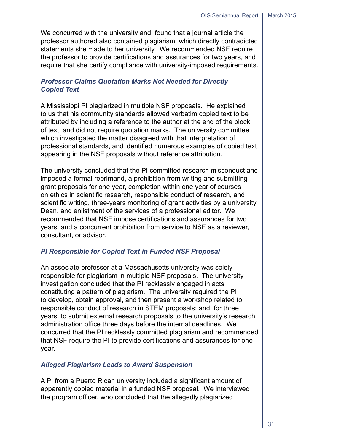We concurred with the university and found that a journal article the professor authored also contained plagiarism, which directly contradicted statements she made to her university. We recommended NSF require the professor to provide certifications and assurances for two years, and require that she certify compliance with university-imposed requirements.

#### *Professor Claims Quotation Marks Not Needed for Directly Copied Text*

A Mississippi PI plagiarized in multiple NSF proposals. He explained to us that his community standards allowed verbatim copied text to be attributed by including a reference to the author at the end of the block of text, and did not require quotation marks. The university committee which investigated the matter disagreed with that interpretation of professional standards, and identified numerous examples of copied text appearing in the NSF proposals without reference attribution.

The university concluded that the PI committed research misconduct and imposed a formal reprimand, a prohibition from writing and submitting grant proposals for one year, completion within one year of courses on ethics in scientific research, responsible conduct of research, and scientific writing, three-years monitoring of grant activities by a university Dean, and enlistment of the services of a professional editor. We recommended that NSF impose certifications and assurances for two years, and a concurrent prohibition from service to NSF as a reviewer, consultant, or advisor.

#### *PI Responsible for Copied Text in Funded NSF Proposal*

An associate professor at a Massachusetts university was solely responsible for plagiarism in multiple NSF proposals. The university investigation concluded that the PI recklessly engaged in acts constituting a pattern of plagiarism. The university required the PI to develop, obtain approval, and then present a workshop related to responsible conduct of research in STEM proposals; and, for three years, to submit external research proposals to the university's research administration office three days before the internal deadlines. We concurred that the PI recklessly committed plagiarism and recommended that NSF require the PI to provide certifications and assurances for one year.

#### *Alleged Plagiarism Leads to Award Suspension*

A PI from a Puerto Rican university included a significant amount of apparently copied material in a funded NSF proposal. We interviewed the program officer, who concluded that the allegedly plagiarized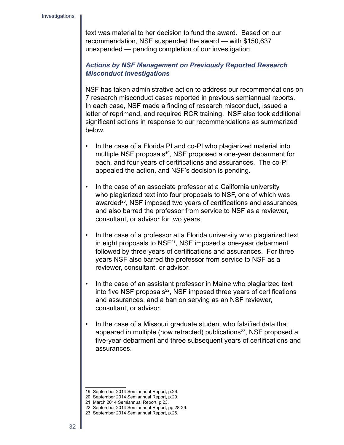text was material to her decision to fund the award. Based on our recommendation, NSF suspended the award — with \$150,637 unexpended — pending completion of our investigation.

#### *Actions by NSF Management on Previously Reported Research Misconduct Investigations*

NSF has taken administrative action to address our recommendations on 7 research misconduct cases reported in previous semiannual reports. In each case, NSF made a finding of research misconduct, issued a letter of reprimand, and required RCR training. NSF also took additional significant actions in response to our recommendations as summarized below.

- In the case of a Florida PI and co-PI who plagiarized material into multiple NSF proposals<sup>19</sup>, NSF proposed a one-year debarment for each, and four years of certifications and assurances. The co-PI appealed the action, and NSF's decision is pending.
- In the case of an associate professor at a California university who plagiarized text into four proposals to NSF, one of which was awarded<sup>20</sup>, NSF imposed two years of certifications and assurances and also barred the professor from service to NSF as a reviewer, consultant, or advisor for two years.
- In the case of a professor at a Florida university who plagiarized text in eight proposals to  $NSF<sup>21</sup>$ , NSF imposed a one-year debarment followed by three years of certifications and assurances. For three years NSF also barred the professor from service to NSF as a reviewer, consultant, or advisor.
- In the case of an assistant professor in Maine who plagiarized text into five NSF proposals $^{22}$ , NSF imposed three years of certifications and assurances, and a ban on serving as an NSF reviewer, consultant, or advisor.
- In the case of a Missouri graduate student who falsified data that appeared in multiple (now retracted) publications<sup>23</sup>, NSF proposed a five-year debarment and three subsequent years of certifications and assurances.

<sup>19</sup> September 2014 Semiannual Report, p.26.

<sup>20</sup> September 2014 Semiannual Report, p.29.

<sup>21</sup> March 2014 Semiannual Report, p.23.

<sup>22</sup> September 2014 Semiannual Report, pp.28-29.

<sup>23</sup> September 2014 Semiannual Report, p.26.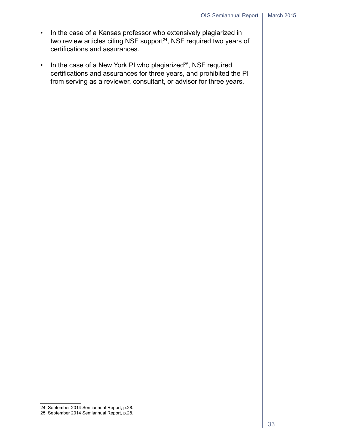- In the case of a Kansas professor who extensively plagiarized in two review articles citing NSF support<sup>24</sup>, NSF required two years of certifications and assurances.
- $\cdot$  In the case of a New York PI who plagiarized<sup>25</sup>, NSF required certifications and assurances for three years, and prohibited the PI from serving as a reviewer, consultant, or advisor for three years.

<sup>24</sup> September 2014 Semiannual Report, p.28.

<sup>25</sup> September 2014 Semiannual Report, p.28.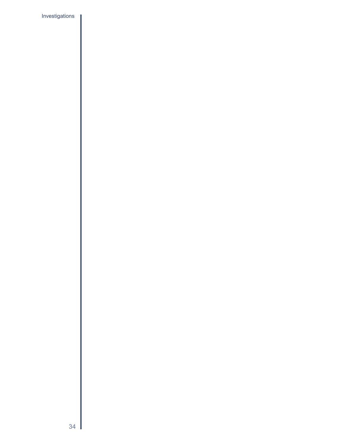Investigations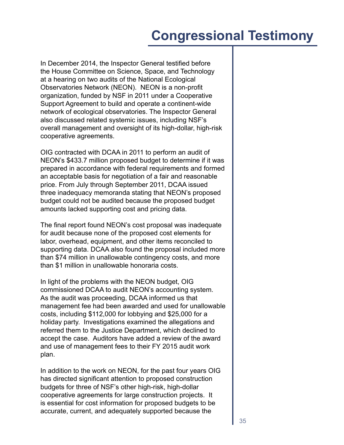# **Congressional Testimony**

In December 2014, the Inspector General testified before the House Committee on Science, Space, and Technology at a hearing on two audits of the National Ecological Observatories Network (NEON). NEON is a non-profit organization, funded by NSF in 2011 under a Cooperative Support Agreement to build and operate a continent-wide network of ecological observatories. The Inspector General also discussed related systemic issues, including NSF's overall management and oversight of its high-dollar, high-risk cooperative agreements.

OIG contracted with DCAA in 2011 to perform an audit of NEON's \$433.7 million proposed budget to determine if it was prepared in accordance with federal requirements and formed an acceptable basis for negotiation of a fair and reasonable price. From July through September 2011, DCAA issued three inadequacy memoranda stating that NEON's proposed budget could not be audited because the proposed budget amounts lacked supporting cost and pricing data.

The final report found NEON's cost proposal was inadequate for audit because none of the proposed cost elements for labor, overhead, equipment, and other items reconciled to supporting data. DCAA also found the proposal included more than \$74 million in unallowable contingency costs, and more than \$1 million in unallowable honoraria costs.

In light of the problems with the NEON budget, OIG commissioned DCAA to audit NEON's accounting system. As the audit was proceeding, DCAA informed us that management fee had been awarded and used for unallowable costs, including \$112,000 for lobbying and \$25,000 for a holiday party. Investigations examined the allegations and referred them to the Justice Department, which declined to accept the case. Auditors have added a review of the award and use of management fees to their FY 2015 audit work plan.

In addition to the work on NEON, for the past four years OIG has directed significant attention to proposed construction budgets for three of NSF's other high-risk, high-dollar cooperative agreements for large construction projects. It is essential for cost information for proposed budgets to be accurate, current, and adequately supported because the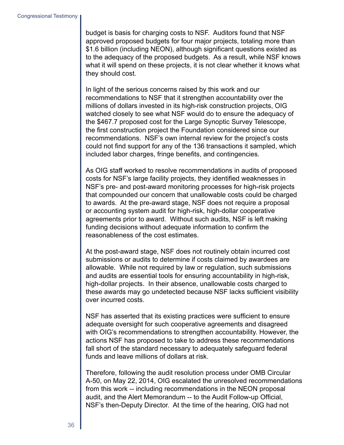budget is basis for charging costs to NSF. Auditors found that NSF approved proposed budgets for four major projects, totaling more than \$1.6 billion (including NEON), although significant questions existed as to the adequacy of the proposed budgets. As a result, while NSF knows what it will spend on these projects, it is not clear whether it knows what they should cost.

In light of the serious concerns raised by this work and our recommendations to NSF that it strengthen accountability over the millions of dollars invested in its high-risk construction projects, OIG watched closely to see what NSF would do to ensure the adequacy of the \$467.7 proposed cost for the Large Synoptic Survey Telescope, the first construction project the Foundation considered since our recommendations. NSF's own internal review for the project's costs could not find support for any of the 136 transactions it sampled, which included labor charges, fringe benefits, and contingencies.

As OIG staff worked to resolve recommendations in audits of proposed costs for NSF's large facility projects, they identified weaknesses in NSF's pre- and post-award monitoring processes for high-risk projects that compounded our concern that unallowable costs could be charged to awards. At the pre-award stage, NSF does not require a proposal or accounting system audit for high-risk, high-dollar cooperative agreements prior to award. Without such audits, NSF is left making funding decisions without adequate information to confirm the reasonableness of the cost estimates.

At the post-award stage, NSF does not routinely obtain incurred cost submissions or audits to determine if costs claimed by awardees are allowable. While not required by law or regulation, such submissions and audits are essential tools for ensuring accountability in high-risk, high-dollar projects. In their absence, unallowable costs charged to these awards may go undetected because NSF lacks sufficient visibility over incurred costs.

NSF has asserted that its existing practices were sufficient to ensure adequate oversight for such cooperative agreements and disagreed with OIG's recommendations to strengthen accountability. However, the actions NSF has proposed to take to address these recommendations fall short of the standard necessary to adequately safeguard federal funds and leave millions of dollars at risk.

Therefore, following the audit resolution process under OMB Circular A-50, on May 22, 2014, OIG escalated the unresolved recommendations from this work -- including recommendations in the NEON proposal audit, and the Alert Memorandum -- to the Audit Follow-up Official, NSF's then-Deputy Director. At the time of the hearing, OIG had not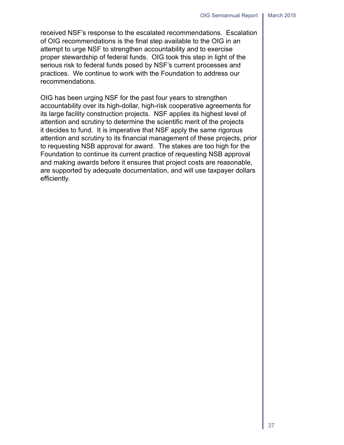received NSF's response to the escalated recommendations. Escalation of OIG recommendations is the final step available to the OIG in an attempt to urge NSF to strengthen accountability and to exercise proper stewardship of federal funds. OIG took this step in light of the serious risk to federal funds posed by NSF's current processes and practices. We continue to work with the Foundation to address our recommendations.

OIG has been urging NSF for the past four years to strengthen accountability over its high-dollar, high-risk cooperative agreements for its large facility construction projects. NSF applies its highest level of attention and scrutiny to determine the scientific merit of the projects it decides to fund. It is imperative that NSF apply the same rigorous attention and scrutiny to its financial management of these projects, prior to requesting NSB approval for award. The stakes are too high for the Foundation to continue its current practice of requesting NSB approval and making awards before it ensures that project costs are reasonable, are supported by adequate documentation, and will use taxpayer dollars efficiently.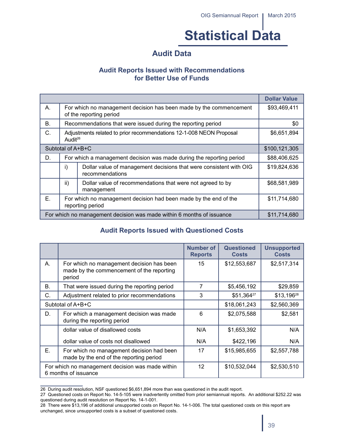# **Statistical Data**

# **Audit Data**

#### **Audit Reports Issued with Recommendations for Better Use of Funds**

|                                                                                            |                                                                                               |                                                                                       | <b>Dollar Value</b> |
|--------------------------------------------------------------------------------------------|-----------------------------------------------------------------------------------------------|---------------------------------------------------------------------------------------|---------------------|
| А.                                                                                         | For which no management decision has been made by the commencement<br>of the reporting period |                                                                                       | \$93,469,411        |
| В.                                                                                         |                                                                                               | Recommendations that were issued during the reporting period                          | \$0                 |
| C.                                                                                         | Audit <sup>26</sup>                                                                           | Adjustments related to prior recommendations 12-1-008 NEON Proposal                   | \$6,651,894         |
| Subtotal of A+B+C                                                                          |                                                                                               | \$100,121,305                                                                         |                     |
| D.                                                                                         |                                                                                               | For which a management decision was made during the reporting period                  | \$88,406,625        |
|                                                                                            | i)                                                                                            | Dollar value of management decisions that were consistent with OIG<br>recommendations | \$19,824,636        |
|                                                                                            | ii)                                                                                           | Dollar value of recommendations that were not agreed to by<br>management              | \$68,581,989        |
| Е.<br>For which no management decision had been made by the end of the<br>reporting period |                                                                                               |                                                                                       | \$11,714,680        |
| For which no management decision was made within 6 months of issuance                      |                                                                                               |                                                                                       | \$11,714,680        |

#### **Audit Reports Issued with Questioned Costs**

|                                                                          |                                                                                                  | <b>Number of</b><br><b>Reports</b> | <b>Questioned</b><br><b>Costs</b> | <b>Unsupported</b><br><b>Costs</b> |
|--------------------------------------------------------------------------|--------------------------------------------------------------------------------------------------|------------------------------------|-----------------------------------|------------------------------------|
| А.                                                                       | For which no management decision has been<br>made by the commencement of the reporting<br>period | 15                                 | \$12,553,687                      | \$2,517,314                        |
| В.                                                                       | That were issued during the reporting period                                                     | 7                                  | \$5,456,192                       | \$29,859                           |
| С.                                                                       | Adjustment related to prior recommendations                                                      |                                    | \$51,36427                        | \$13,19628                         |
| Subtotal of A+B+C                                                        |                                                                                                  |                                    | \$18,061,243                      | \$2,560,369                        |
| D.                                                                       | For which a management decision was made<br>during the reporting period                          | 6                                  | \$2,075,588                       | \$2,581                            |
|                                                                          | dollar value of disallowed costs                                                                 | N/A                                | \$1,653,392                       | N/A                                |
|                                                                          | dollar value of costs not disallowed                                                             | N/A                                | \$422,196                         | N/A                                |
| Е.                                                                       | For which no management decision had been<br>made by the end of the reporting period             | 17                                 | \$15,985,655                      | \$2,557,788                        |
| For which no management decision was made within<br>6 months of issuance |                                                                                                  | 12 <sup>2</sup>                    | \$10,532,044                      | \$2,530,510                        |

<sup>26</sup> During audit resolution, NSF questioned \$6,651,894 more than was questioned in the audit report.

<sup>27</sup> Questioned costs on Report No. 14-5-105 were inadvertently omitted from prior semiannual reports. An additional \$252.22 was questioned during audit resolution on Report No. 14-1-001.

<sup>28</sup> There were \$13,196 of additional unsupported costs on Report No. 14-1-006. The total questioned costs on this report are unchanged, since unsupported costs is a subset of questioned costs.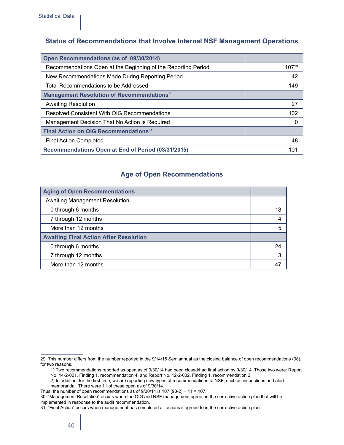#### **Status of Recommendations that Involve Internal NSF Management Operations**

| Open Recommendations (as of 09/30/2014)                       |       |
|---------------------------------------------------------------|-------|
| Recommendations Open at the Beginning of the Reporting Period | 10729 |
| New Recommendations Made During Reporting Period              | 42    |
| Total Recommendations to be Addressed                         | 149   |
| <b>Management Resolution of Recommendations</b> <sup>30</sup> |       |
| <b>Awaiting Resolution</b>                                    | 27    |
| <b>Resolved Consistent With OIG Recommendations</b>           | 102   |
| Management Decision That No Action is Required                | 0     |
| Final Action on OIG Recommendations <sup>31</sup>             |       |
| <b>Final Action Completed</b>                                 | 48    |
| Recommendations Open at End of Period (03/31/2015)            | 101   |

#### **Age of Open Recommendations**

| <b>Aging of Open Recommendations</b>          |    |
|-----------------------------------------------|----|
| <b>Awaiting Management Resolution</b>         |    |
| 0 through 6 months                            | 18 |
| 7 through 12 months                           | 4  |
| More than 12 months                           | 5  |
| <b>Awaiting Final Action After Resolution</b> |    |
| 0 through 6 months                            | 24 |
| 7 through 12 months                           | 3  |
| More than 12 months                           | 47 |

<sup>29</sup> This number differs from the number reported in the 9/14/15 Semiannual as the closing balance of open recommendations (98), for two reasons.

<sup>1)</sup> Two recommendations reported as open as of 9/30/14 had been closed/had final action by 9/30/14. Those two were: Report No. 14-2-001, Finding 1, recommendation 4, and Report No. 12-2-002, Finding 1, recommendation 2.

<sup>2)</sup> In addition, for the first time, we are reporting new types of recommendations to NSF, such as inspections and alert memoranda. There were 11 of these open as of 9/30/14.

Thus, the number of open recommendations as of  $9/30/14$  is 107 (98-2) + 11 = 107.

<sup>30 &</sup>quot;Management Resolution" occurs when the OIG and NSF management agree on the corrective action plan that will be implemented in response to the audit recommendation.

<sup>31 &</sup>quot;Final Action" occurs when management has completed all actions it agreed to in the corrective action plan.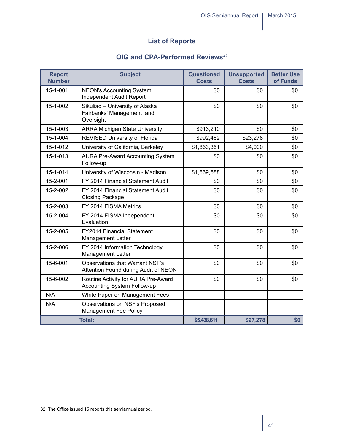#### **List of Reports**

# **OIG and CPA-Performed Reviews**<sup>32</sup>

| <b>Report</b><br><b>Number</b> | <b>Subject</b>                                                                 | <b>Questioned</b><br><b>Costs</b> | <b>Unsupported</b><br><b>Costs</b> | <b>Better Use</b><br>of Funds |
|--------------------------------|--------------------------------------------------------------------------------|-----------------------------------|------------------------------------|-------------------------------|
| 15-1-001                       | <b>NEON's Accounting System</b><br>Independent Audit Report                    | \$0                               | \$0                                | \$0                           |
| 15-1-002                       | Sikuliaq - University of Alaska<br>Fairbanks' Management and<br>Oversight      | \$0                               | \$0                                | \$0                           |
| 15-1-003                       | <b>ARRA Michigan State University</b>                                          | \$913,210                         | \$0                                | \$0                           |
| 15-1-004                       | REVISED University of Florida                                                  | \$992,462                         | \$23,278                           | \$0                           |
| 15-1-012                       | University of California, Berkeley                                             | \$1,863,351                       | \$4,000                            | \$0                           |
| 15-1-013                       | <b>AURA Pre-Award Accounting System</b><br>Follow-up                           | \$0                               | \$0                                | \$0                           |
| 15-1-014                       | University of Wisconsin - Madison                                              | \$1,669,588                       | \$0                                | \$0                           |
| 15-2-001                       | FY 2014 Financial Statement Audit                                              | \$0                               | \$0                                | \$0                           |
| 15-2-002                       | FY 2014 Financial Statement Audit<br><b>Closing Package</b>                    | \$0                               | \$0                                | \$0                           |
| 15-2-003                       | FY 2014 FISMA Metrics                                                          | \$0                               | \$0                                | \$0                           |
| 15-2-004                       | FY 2014 FISMA Independent<br>Evaluation                                        | \$0                               | \$0                                | \$0                           |
| 15-2-005                       | FY2014 Financial Statement<br>Management Letter                                | \$0                               | \$0                                | \$0                           |
| 15-2-006                       | FY 2014 Information Technology<br>Management Letter                            | \$0                               | \$0                                | \$0                           |
| 15-6-001                       | <b>Observations that Warrant NSF's</b><br>Attention Found during Audit of NEON | \$0                               | \$0                                | \$0                           |
| 15-6-002                       | Routine Activity for AURA Pre-Award<br>Accounting System Follow-up             | \$0                               | \$0                                | \$0                           |
| N/A                            | White Paper on Management Fees                                                 |                                   |                                    |                               |
| N/A                            | Observations on NSF's Proposed<br><b>Management Fee Policy</b>                 |                                   |                                    |                               |
|                                | <b>Total:</b>                                                                  | \$5,438,611                       | \$27,278                           | \$0                           |

<sup>32</sup> The Office issued 15 reports this semiannual period.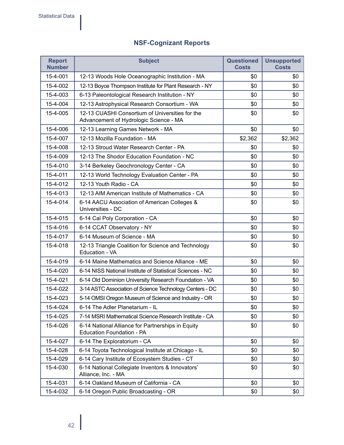I

# **NSF-Cognizant Reports**

| <b>Report</b><br><b>Number</b> | <b>Subject</b>                                                                            | <b>Questioned</b><br><b>Costs</b> | <b>Unsupported</b><br><b>Costs</b> |
|--------------------------------|-------------------------------------------------------------------------------------------|-----------------------------------|------------------------------------|
| 15-4-001                       | 12-13 Woods Hole Oceanographic Institution - MA                                           | \$0                               | \$0                                |
| 15-4-002                       | 12-13 Boyce Thompson Institute for Plant Research - NY                                    | \$0                               | \$0                                |
| 15-4-003                       | 6-13 Paleontological Research Institution - NY                                            | \$0                               | \$0                                |
| 15-4-004                       | 12-13 Astrophysical Research Consortium - WA                                              | \$0                               | \$0                                |
| 15-4-005                       | 12-13 CUASHI Consortium of Universities for the<br>Advancement of Hydrologic Science - MA | \$0                               | \$0                                |
| 15-4-006                       | 12-13 Learning Games Network - MA                                                         | \$0                               | \$0                                |
| 15-4-007                       | 12-13 Mozilla Foundation - MA                                                             | \$2,362                           | \$2,362                            |
| 15-4-008                       | 12-13 Stroud Water Research Center - PA                                                   | \$0                               | \$0                                |
| 15-4-009                       | 12-13 The Shodor Education Foundation - NC                                                | \$0                               | \$0                                |
| 15-4-010                       | 3-14 Berkeley Geochronology Center - CA                                                   | \$0                               | \$0                                |
| 15-4-011                       | 12-13 World Technology Evaluation Center - PA                                             | \$0                               | \$0                                |
| 15-4-012                       | 12-13 Youth Radio - CA                                                                    | \$0                               | \$0                                |
| 15-4-013                       | 12-13 AIM American Institute of Mathematics - CA                                          | \$0                               | \$0                                |
| 15-4-014                       | 6-14 AACU Association of American Colleges &<br>Universities - DC                         | \$0                               | \$0                                |
| 15-4-015                       | 6-14 Cal Poly Corporation - CA                                                            | \$0                               | \$0                                |
| 15-4-016                       | 6-14 CCAT Observatory - NY                                                                | \$0                               | \$0                                |
| 15-4-017                       | 6-14 Museum of Science - MA                                                               | \$0                               | \$0                                |
| 15-4-018                       | 12-13 Triangle Coalition for Science and Technology<br>Education - VA                     | \$0                               | \$0                                |
| 15-4-019                       | 6-14 Maine Mathematics and Science Alliance - ME                                          | \$0                               | \$0                                |
| 15-4-020                       | 6-14 NISS National Institute of Statistical Sciences - NC                                 | \$0                               | \$0                                |
| 15-4-021                       | 6-14 Old Dominion University Research Foundation - VA                                     | \$0                               | \$0                                |
| 15-4-022                       | 3-14 ASTC Association of Science Technology Centers - DC                                  | \$0                               | \$0                                |
| 15-4-023                       | 5-14 OMSI Oregon Museum of Science and Industry - OR                                      | \$0                               | \$0                                |
| 15-4-024                       | 6-14 The Adler Planetarium - IL                                                           | \$0                               | \$0                                |
| 15-4-025                       | 7-14 MSRI Mathematical Science Research Institute - CA                                    | \$0                               | \$0                                |
| 15-4-026                       | 6-14 National Alliance for Partnerships in Equity<br><b>Education Foundation - PA</b>     | \$0                               | \$0                                |
| 15-4-027                       | 6-14 The Exploratorium - CA                                                               | \$0                               | \$0                                |
| 15-4-028                       | 6-14 Toyota Technological Institute at Chicago - IL                                       | \$0                               | \$0                                |
| 15-4-029                       | 6-14 Cary Institute of Ecosystem Studies - CT                                             | \$0                               | \$0                                |
| 15-4-030                       | 6-14 National Collegiate Inventors & Innovators'<br>Alliance, Inc. - MA                   | \$0                               | \$0                                |
| 15-4-031                       | 6-14 Oakland Museum of California - CA                                                    | \$0                               | \$0                                |
| 15-4-032                       | 6-14 Oregon Public Broadcasting - OR                                                      | \$0                               | \$0                                |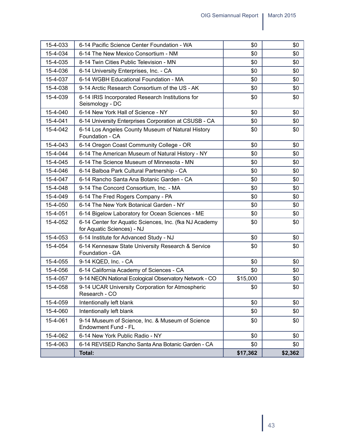| 15-4-033 | 6-14 Pacific Science Center Foundation - WA                                          | \$0      | \$0     |
|----------|--------------------------------------------------------------------------------------|----------|---------|
| 15-4-034 | 6-14 The New Mexico Consortium - NM                                                  | \$0      | \$0     |
| 15-4-035 | 8-14 Twin Cities Public Television - MN                                              | \$0      | \$0     |
| 15-4-036 | 6-14 University Enterprises, Inc. - CA                                               | \$0      | \$0     |
| 15-4-037 | 6-14 WGBH Educational Foundation - MA                                                | \$0      | \$0     |
| 15-4-038 | 9-14 Arctic Research Consortium of the US - AK                                       | \$0      | \$0     |
| 15-4-039 | 6-14 IRIS Incorporated Research Institutions for<br>Seismology - DC                  | \$0      | \$0     |
| 15-4-040 | 6-14 New York Hall of Science - NY                                                   | \$0      | \$0     |
| 15-4-041 | 6-14 University Enterprises Corporation at CSUSB - CA                                | \$0      | \$0     |
| 15-4-042 | 6-14 Los Angeles County Museum of Natural History<br>Foundation - CA                 | \$0      | \$0     |
| 15-4-043 | 6-14 Oregon Coast Community College - OR                                             | \$0      | \$0     |
| 15-4-044 | 6-14 The American Museum of Natural History - NY                                     | \$0      | \$0     |
| 15-4-045 | 6-14 The Science Museum of Minnesota - MN                                            | \$0      | \$0     |
| 15-4-046 | 6-14 Balboa Park Cultural Partnership - CA                                           | \$0      | \$0     |
| 15-4-047 | 6-14 Rancho Santa Ana Botanic Garden - CA                                            | \$0      | \$0     |
| 15-4-048 | 9-14 The Concord Consortium, Inc. - MA                                               | \$0      | \$0     |
| 15-4-049 | 6-14 The Fred Rogers Company - PA                                                    | \$0      | \$0     |
| 15-4-050 | 6-14 The New York Botanical Garden - NY                                              | \$0      | \$0     |
| 15-4-051 | 6-14 Bigelow Laboratory for Ocean Sciences - ME                                      | \$0      | \$0     |
| 15-4-052 | 6-14 Center for Aquatic Sciences, Inc. (fka NJ Academy<br>for Aquatic Sciences) - NJ | \$0      | \$0     |
| 15-4-053 | 6-14 Institute for Advanced Study - NJ                                               | \$0      | \$0     |
| 15-4-054 | 6-14 Kennesaw State University Research & Service<br>Foundation - GA                 | \$0      | \$0     |
| 15-4-055 | 9-14 KQED, Inc. - CA                                                                 | \$0      | \$0     |
| 15-4-056 | 6-14 California Academy of Sciences - CA                                             | \$0      | \$0     |
| 15-4-057 | 9-14 NEON National Ecological Observatory Network - CO                               | \$15,000 | \$0     |
| 15-4-058 | 9-14 UCAR University Corporation for Atmospheric<br>Research - CO                    | \$0      | \$0     |
| 15-4-059 | Intentionally left blank                                                             | \$0      | \$0     |
| 15-4-060 | Intentionally left blank                                                             | \$0      | \$0     |
| 15-4-061 | 9-14 Museum of Science, Inc. & Museum of Science<br>Endowment Fund - FL              | \$0      | \$0     |
| 15-4-062 | 6-14 New York Public Radio - NY                                                      | \$0      | \$0     |
| 15-4-063 | 6-14 REVISED Rancho Santa Ana Botanic Garden - CA                                    | \$0      | \$0     |
|          | <b>Total:</b>                                                                        | \$17,362 | \$2,362 |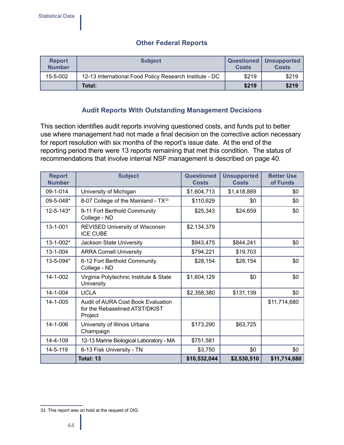#### **Other Federal Reports**

| <b>Report</b><br><b>Number</b> | <b>Subject</b>                                          | <b>Costs</b> | Questioned   Unsupported<br><b>Costs</b> |
|--------------------------------|---------------------------------------------------------|--------------|------------------------------------------|
| 15-5-002                       | 12-13 International Food Policy Research Institute - DC | \$219        | \$219                                    |
|                                | Total:                                                  | \$219        | \$219                                    |

#### **Audit Reports With Outstanding Management Decisions**

This section identifies audit reports involving questioned costs, and funds put to better use where management had not made a final decision on the corrective action necessary for report resolution with six months of the report's issue date. At the end of the reporting period there were 13 reports remaining that met this condition. The status of recommendations that involve internal NSF management is described on page 40.

| <b>Report</b><br><b>Number</b> | <b>Subject</b>                                                                         | <b>Questioned</b><br><b>Costs</b> | <b>Unsupported</b><br><b>Costs</b> | <b>Better Use</b><br>of Funds |
|--------------------------------|----------------------------------------------------------------------------------------|-----------------------------------|------------------------------------|-------------------------------|
| 09-1-014                       | University of Michigan                                                                 | \$1,604,713                       | \$1,418,889                        | \$0                           |
| 09-5-048*                      | 8-07 College of the Mainland - TX33                                                    | \$110,629                         | \$0                                | \$0                           |
| $12 - 5 - 143*$                | 9-11 Fort Berthold Community<br>College - ND                                           | \$25,343                          | \$24,659                           | \$0                           |
| 13-1-001                       | <b>REVISED University of Wisconsin</b><br><b>ICE CUBE</b>                              | \$2,134,379                       |                                    |                               |
| 13-1-002*                      | Jackson State University                                                               | \$943,475                         | \$844,241                          | \$0                           |
| 13-1-004                       | <b>ARRA Cornell University</b>                                                         | \$794,221                         | \$19,703                           |                               |
| 13-5-094*                      | 6-12 Fort Berthold Community<br>College - ND                                           | \$28,154                          | \$28,154                           | \$0                           |
| 14-1-002                       | Virginia Polytechnic Institute & State<br><b>University</b>                            | \$1,604,129                       | \$0                                | \$0                           |
| 14-1-004                       | <b>UCLA</b>                                                                            | \$2,358,380                       | \$131,139                          | \$0                           |
| 14-1-005                       | <b>Audit of AURA Cost Book Evaluation</b><br>for the Rebaselined ATST/DKIST<br>Project |                                   |                                    | \$11,714,680                  |
| 14-1-006                       | University of Illinois Urbana<br>Champaign                                             | \$173,290                         | \$63,725                           |                               |
| 14-4-109                       | 12-13 Marine Biological Laboratory - MA                                                | \$751,581                         |                                    |                               |
| 14-5-119                       | 6-13 Fisk University - TN                                                              | \$3,750                           | \$0                                | \$0                           |
|                                | Total: 13                                                                              | \$10,532,044                      | \$2,530,510                        | \$11,714,680                  |

<sup>33</sup> This report was on hold at the request of OIG.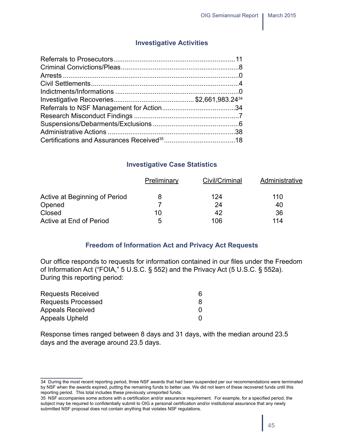#### **Investigative Activities**

#### **Investigative Case Statistics**

|                               | Preliminary | Civil/Criminal | Administrative |
|-------------------------------|-------------|----------------|----------------|
| Active at Beginning of Period | 8           | 124            | 110            |
| Opened                        |             | 24             | 40             |
| Closed                        | 10          | 42             | 36             |
| Active at End of Period       | 5           | 106            | 114            |

#### **Freedom of Information Act and Privacy Act Requests**

Our office responds to requests for information contained in our files under the Freedom of Information Act ("FOIA," 5 U.S.C. § 552) and the Privacy Act (5 U.S.C. § 552a). During this reporting period:

| <b>Requests Received</b>  | 6 |
|---------------------------|---|
| <b>Requests Processed</b> | 8 |
| <b>Appeals Received</b>   |   |
| Appeals Upheld            |   |

Response times ranged between 8 days and 31 days, with the median around 23.5 days and the average around 23.5 days.

<sup>34</sup> During the most recent reporting period, three NSF awards that had been suspended per our recommendations were terminated by NSF when the awards expired, putting the remaining funds to better use. We did not learn of these recovered funds until this reporting period. This total includes these previously unreported funds.

<sup>35</sup> NSF accompanies some actions with a certification and/or assurance requirement. For example, for a specified period, the subject may be required to confidentially submit to OIG a personal certification and/or institutional assurance that any newly submitted NSF proposal does not contain anything that violates NSF regulations.